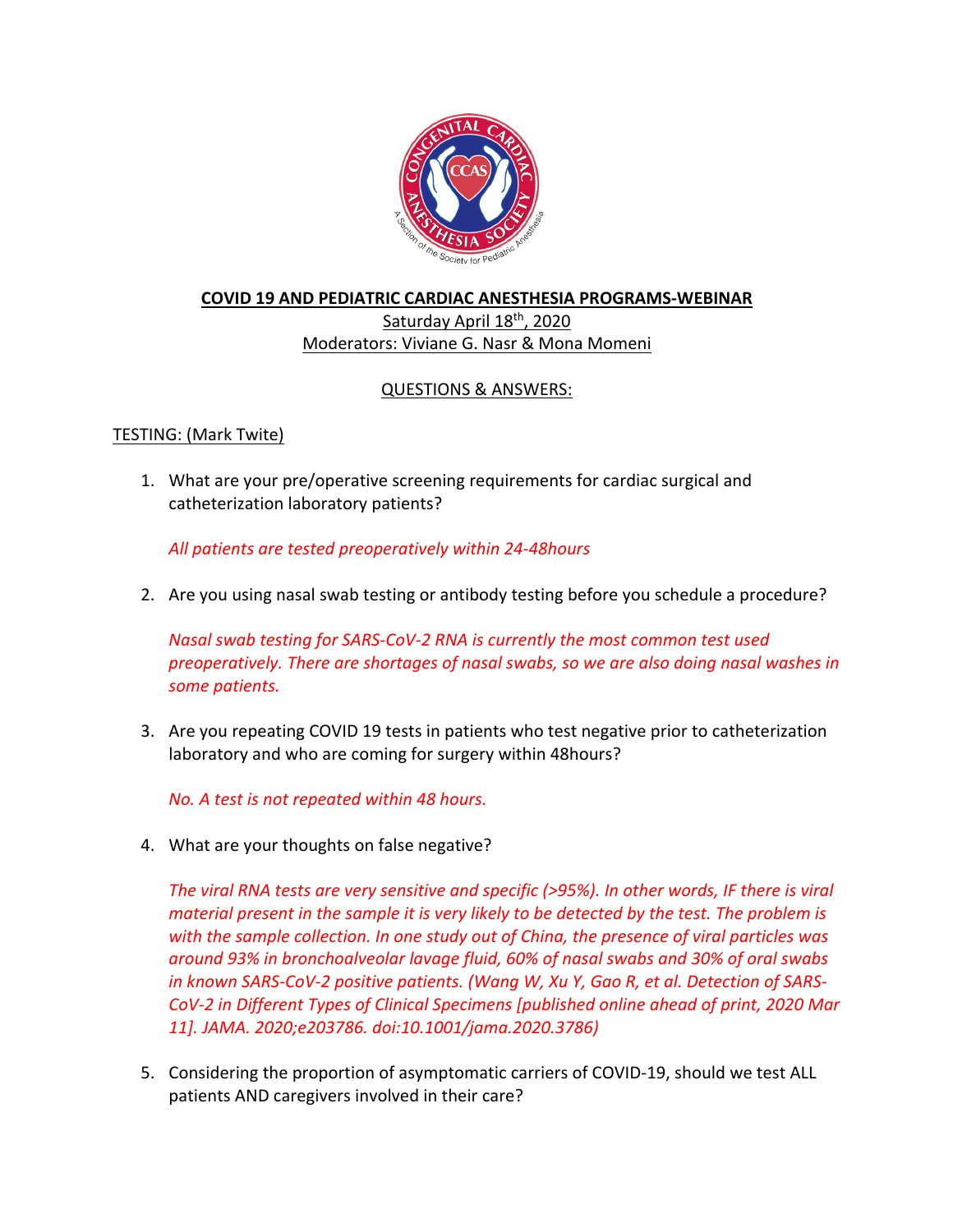

## **COVID 19 AND PEDIATRIC CARDIAC ANESTHESIA PROGRAMS-WEBINAR** Saturday April 18<sup>th</sup>, 2020

# Moderators: Viviane G. Nasr & Mona Momeni

# QUESTIONS & ANSWERS:

# TESTING: (Mark Twite)

1. What are your pre/operative screening requirements for cardiac surgical and catheterization laboratory patients?

*All patients are tested preoperatively within 24-48hours*

2. Are you using nasal swab testing or antibody testing before you schedule a procedure?

*Nasal swab testing for SARS-CoV-2 RNA is currently the most common test used preoperatively. There are shortages of nasal swabs, so we are also doing nasal washes in some patients.*

3. Are you repeating COVID 19 tests in patients who test negative prior to catheterization laboratory and who are coming for surgery within 48hours?

*No. A test is not repeated within 48 hours.* 

4. What are your thoughts on false negative?

*The viral RNA tests are very sensitive and specific (>95%). In other words, IF there is viral material present in the sample it is very likely to be detected by the test. The problem is with the sample collection. In one study out of China, the presence of viral particles was around 93% in bronchoalveolar lavage fluid, 60% of nasal swabs and 30% of oral swabs in known SARS-CoV-2 positive patients. (Wang W, Xu Y, Gao R, et al. Detection of SARS-CoV-2 in Different Types of Clinical Specimens [published online ahead of print, 2020 Mar 11]. JAMA. 2020;e203786. doi:10.1001/jama.2020.3786)*

5. Considering the proportion of asymptomatic carriers of COVID-19, should we test ALL patients AND caregivers involved in their care?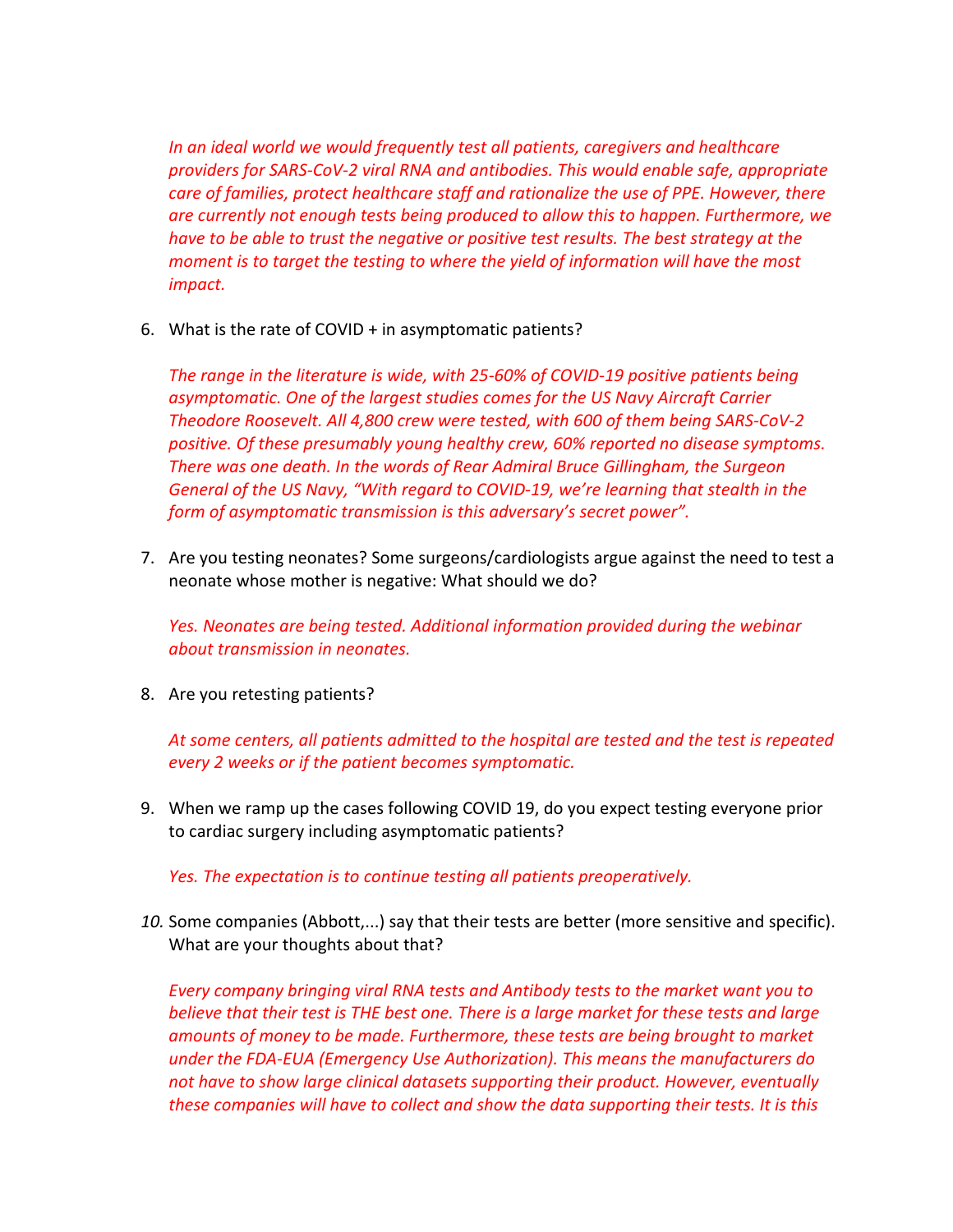*In an ideal world we would frequently test all patients, caregivers and healthcare providers for SARS-CoV-2 viral RNA and antibodies. This would enable safe, appropriate care of families, protect healthcare staff and rationalize the use of PPE. However, there are currently not enough tests being produced to allow this to happen. Furthermore, we have to be able to trust the negative or positive test results. The best strategy at the moment is to target the testing to where the yield of information will have the most impact.*

6. What is the rate of COVID + in asymptomatic patients?

*The range in the literature is wide, with 25-60% of COVID-19 positive patients being asymptomatic. One of the largest studies comes for the US Navy Aircraft Carrier Theodore Roosevelt. All 4,800 crew were tested, with 600 of them being SARS-CoV-2 positive. Of these presumably young healthy crew, 60% reported no disease symptoms. There was one death. In the words of Rear Admiral Bruce Gillingham, the Surgeon General of the US Navy, "With regard to COVID-19, we're learning that stealth in the form of asymptomatic transmission is this adversary's secret power".*

7. Are you testing neonates? Some surgeons/cardiologists argue against the need to test a neonate whose mother is negative: What should we do?

*Yes. Neonates are being tested. Additional information provided during the webinar about transmission in neonates.* 

8. Are you retesting patients?

*At some centers, all patients admitted to the hospital are tested and the test is repeated every 2 weeks or if the patient becomes symptomatic.* 

9. When we ramp up the cases following COVID 19, do you expect testing everyone prior to cardiac surgery including asymptomatic patients?

*Yes. The expectation is to continue testing all patients preoperatively.*

*10.* Some companies (Abbott,...) say that their tests are better (more sensitive and specific). What are your thoughts about that?

*Every company bringing viral RNA tests and Antibody tests to the market want you to believe that their test is THE best one. There is a large market for these tests and large amounts of money to be made. Furthermore, these tests are being brought to market under the FDA-EUA (Emergency Use Authorization). This means the manufacturers do not have to show large clinical datasets supporting their product. However, eventually these companies will have to collect and show the data supporting their tests. It is this*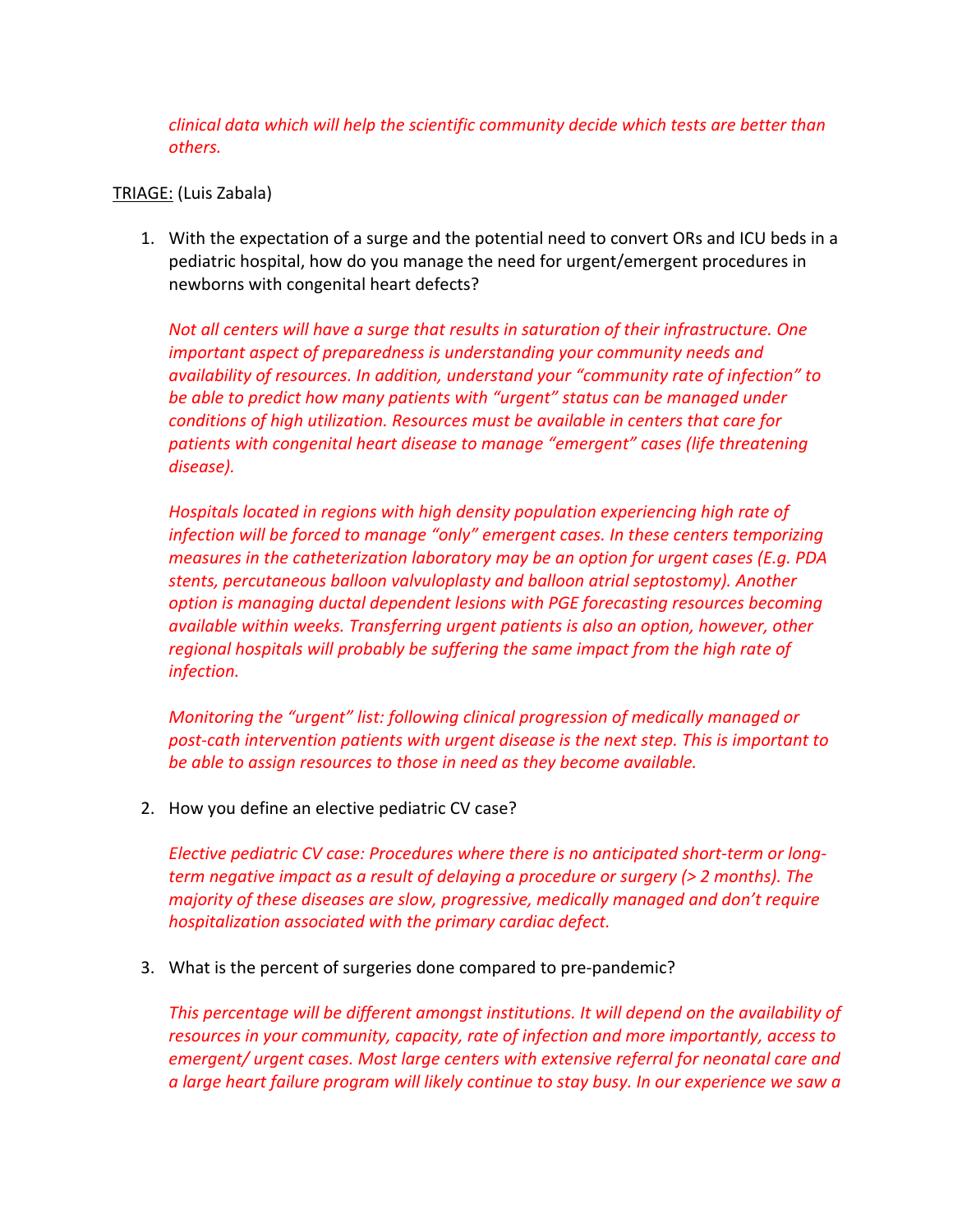*clinical data which will help the scientific community decide which tests are better than others.*

#### TRIAGE: (Luis Zabala)

1. With the expectation of a surge and the potential need to convert ORs and ICU beds in a pediatric hospital, how do you manage the need for urgent/emergent procedures in newborns with congenital heart defects?

*Not all centers will have a surge that results in saturation of their infrastructure. One important aspect of preparedness is understanding your community needs and availability of resources. In addition, understand your "community rate of infection" to be able to predict how many patients with "urgent" status can be managed under conditions of high utilization. Resources must be available in centers that care for patients with congenital heart disease to manage "emergent" cases (life threatening disease).* 

*Hospitals located in regions with high density population experiencing high rate of infection will be forced to manage "only" emergent cases. In these centers temporizing measures in the catheterization laboratory may be an option for urgent cases (E.g. PDA stents, percutaneous balloon valvuloplasty and balloon atrial septostomy). Another option is managing ductal dependent lesions with PGE forecasting resources becoming available within weeks. Transferring urgent patients is also an option, however, other regional hospitals will probably be suffering the same impact from the high rate of infection.* 

*Monitoring the "urgent" list: following clinical progression of medically managed or post-cath intervention patients with urgent disease is the next step. This is important to be able to assign resources to those in need as they become available.* 

2. How you define an elective pediatric CV case?

*Elective pediatric CV case: Procedures where there is no anticipated short-term or longterm negative impact as a result of delaying a procedure or surgery (> 2 months). The majority of these diseases are slow, progressive, medically managed and don't require hospitalization associated with the primary cardiac defect.* 

3. What is the percent of surgeries done compared to pre-pandemic?

*This percentage will be different amongst institutions. It will depend on the availability of resources in your community, capacity, rate of infection and more importantly, access to emergent/ urgent cases. Most large centers with extensive referral for neonatal care and a large heart failure program will likely continue to stay busy. In our experience we saw a*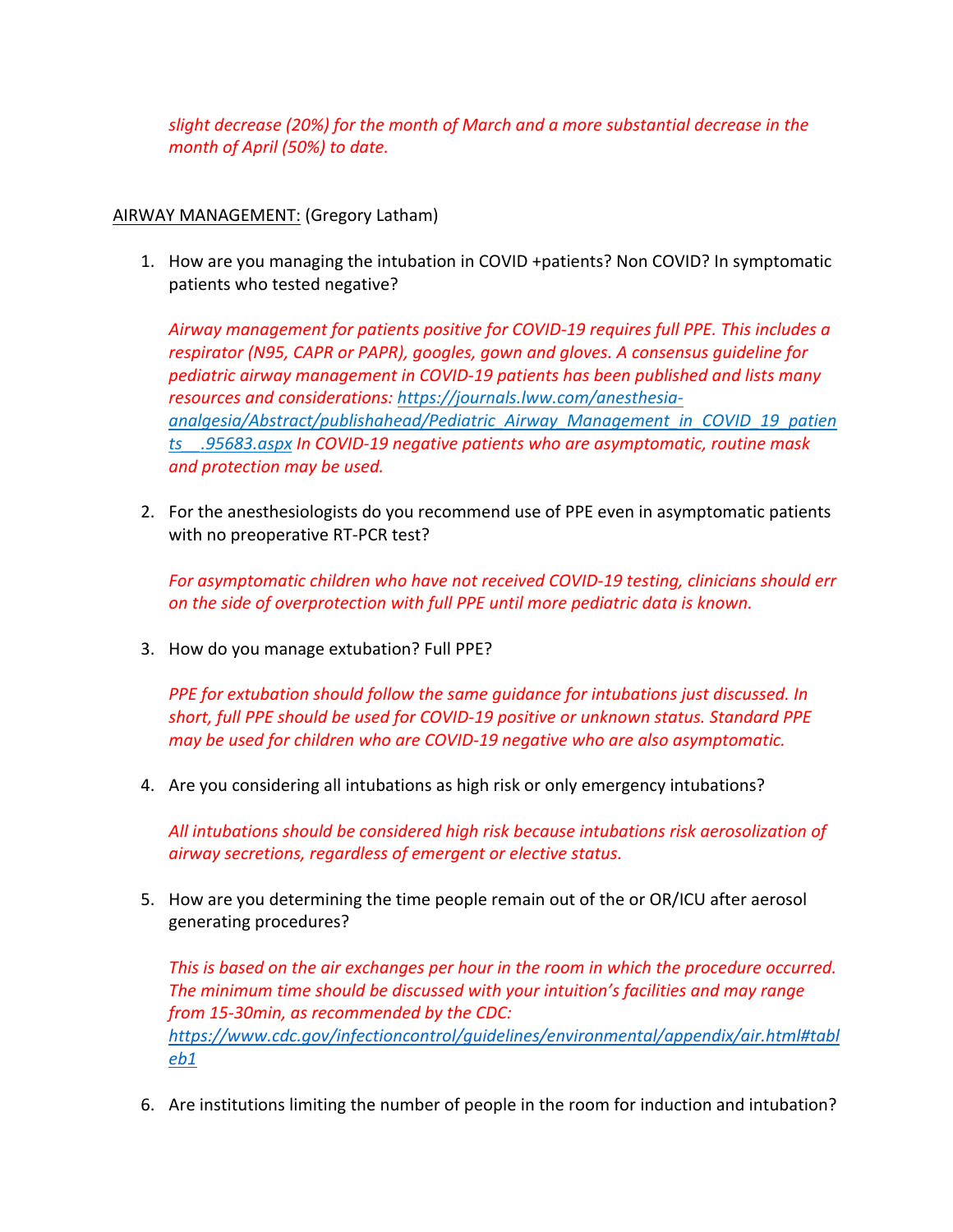*slight decrease (20%) for the month of March and a more substantial decrease in the month of April (50%) to date.* 

## AIRWAY MANAGEMENT: (Gregory Latham)

1. How are you managing the intubation in COVID +patients? Non COVID? In symptomatic patients who tested negative?

*Airway management for patients positive for COVID-19 requires full PPE. This includes a respirator (N95, CAPR or PAPR), googles, gown and gloves. A consensus guideline for pediatric airway management in COVID-19 patients has been published and lists many resources and considerations: https://journals.lww.com/anesthesiaanalgesia/Abstract/publishahead/Pediatric\_Airway\_Management\_in\_COVID\_19\_patien ts\_\_.95683.aspx In COVID-19 negative patients who are asymptomatic, routine mask and protection may be used.* 

2. For the anesthesiologists do you recommend use of PPE even in asymptomatic patients with no preoperative RT-PCR test?

*For asymptomatic children who have not received COVID-19 testing, clinicians should err on the side of overprotection with full PPE until more pediatric data is known.*

3. How do you manage extubation? Full PPE?

*PPE for extubation should follow the same guidance for intubations just discussed. In short, full PPE should be used for COVID-19 positive or unknown status. Standard PPE may be used for children who are COVID-19 negative who are also asymptomatic.*

4. Are you considering all intubations as high risk or only emergency intubations?

*All intubations should be considered high risk because intubations risk aerosolization of airway secretions, regardless of emergent or elective status.*

5. How are you determining the time people remain out of the or OR/ICU after aerosol generating procedures?

*This is based on the air exchanges per hour in the room in which the procedure occurred. The minimum time should be discussed with your intuition's facilities and may range from 15-30min, as recommended by the CDC: https://www.cdc.gov/infectioncontrol/guidelines/environmental/appendix/air.html#tabl eb1*

6. Are institutions limiting the number of people in the room for induction and intubation?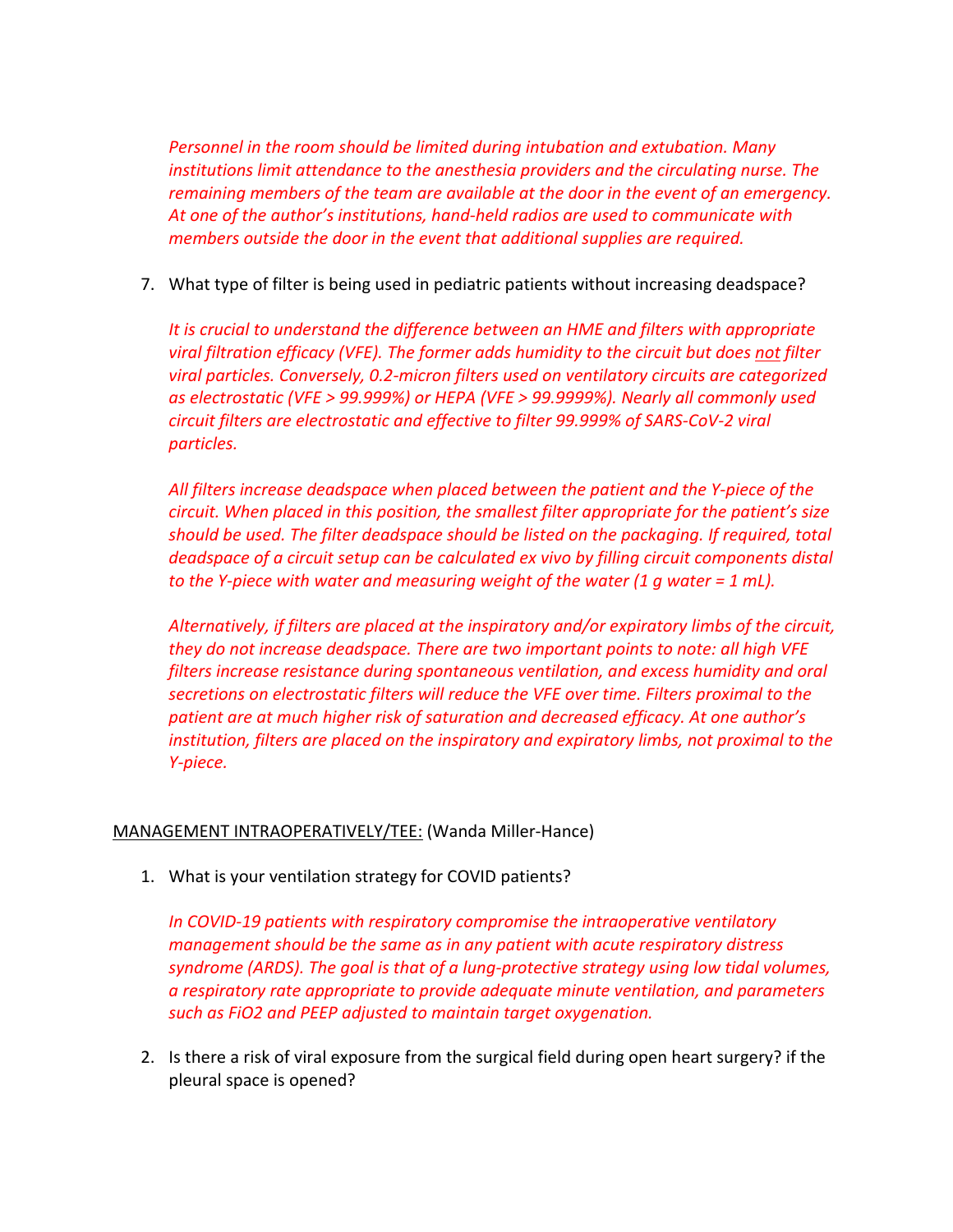*Personnel in the room should be limited during intubation and extubation. Many institutions limit attendance to the anesthesia providers and the circulating nurse. The remaining members of the team are available at the door in the event of an emergency. At one of the author's institutions, hand-held radios are used to communicate with members outside the door in the event that additional supplies are required.*

7. What type of filter is being used in pediatric patients without increasing deadspace?

*It is crucial to understand the difference between an HME and filters with appropriate viral filtration efficacy (VFE). The former adds humidity to the circuit but does not filter viral particles. Conversely, 0.2-micron filters used on ventilatory circuits are categorized as electrostatic (VFE > 99.999%) or HEPA (VFE > 99.9999%). Nearly all commonly used circuit filters are electrostatic and effective to filter 99.999% of SARS-CoV-2 viral particles.*

*All filters increase deadspace when placed between the patient and the Y-piece of the circuit. When placed in this position, the smallest filter appropriate for the patient's size should be used. The filter deadspace should be listed on the packaging. If required, total deadspace of a circuit setup can be calculated ex vivo by filling circuit components distal to the Y-piece with water and measuring weight of the water (1 g water = 1 mL).* 

*Alternatively, if filters are placed at the inspiratory and/or expiratory limbs of the circuit, they do not increase deadspace. There are two important points to note: all high VFE filters increase resistance during spontaneous ventilation, and excess humidity and oral secretions on electrostatic filters will reduce the VFE over time. Filters proximal to the patient are at much higher risk of saturation and decreased efficacy. At one author's institution, filters are placed on the inspiratory and expiratory limbs, not proximal to the Y-piece.*

# MANAGEMENT INTRAOPERATIVELY/TEE: (Wanda Miller-Hance)

1. What is your ventilation strategy for COVID patients?

*In COVID-19 patients with respiratory compromise the intraoperative ventilatory management should be the same as in any patient with acute respiratory distress syndrome (ARDS). The goal is that of a lung-protective strategy using low tidal volumes, a respiratory rate appropriate to provide adequate minute ventilation, and parameters such as FiO2 and PEEP adjusted to maintain target oxygenation.*

2. Is there a risk of viral exposure from the surgical field during open heart surgery? if the pleural space is opened?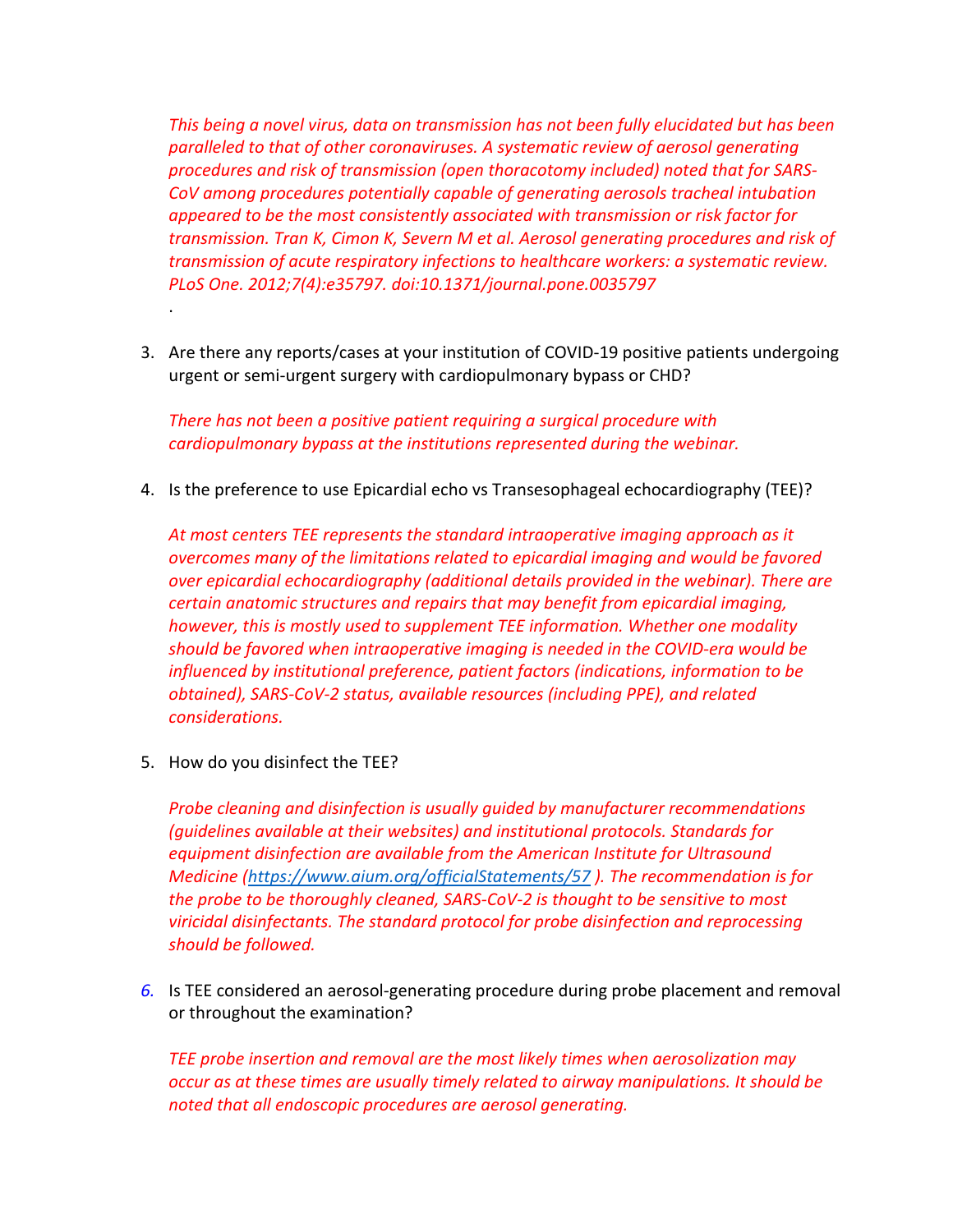*This being a novel virus, data on transmission has not been fully elucidated but has been paralleled to that of other coronaviruses. A systematic review of aerosol generating procedures and risk of transmission (open thoracotomy included) noted that for SARS-CoV among procedures potentially capable of generating aerosols tracheal intubation appeared to be the most consistently associated with transmission or risk factor for transmission. Tran K, Cimon K, Severn M et al. Aerosol generating procedures and risk of transmission of acute respiratory infections to healthcare workers: a systematic review. PLoS One. 2012;7(4):e35797. doi:10.1371/journal.pone.0035797*

3. Are there any reports/cases at your institution of COVID-19 positive patients undergoing urgent or semi-urgent surgery with cardiopulmonary bypass or CHD?

*There has not been a positive patient requiring a surgical procedure with cardiopulmonary bypass at the institutions represented during the webinar.* 

4. Is the preference to use Epicardial echo vs Transesophageal echocardiography (TEE)?

*At most centers TEE represents the standard intraoperative imaging approach as it overcomes many of the limitations related to epicardial imaging and would be favored over epicardial echocardiography (additional details provided in the webinar). There are certain anatomic structures and repairs that may benefit from epicardial imaging, however, this is mostly used to supplement TEE information. Whether one modality should be favored when intraoperative imaging is needed in the COVID-era would be influenced by institutional preference, patient factors (indications, information to be obtained), SARS-CoV-2 status, available resources (including PPE), and related considerations.*

5. How do you disinfect the TEE?

.

*Probe cleaning and disinfection is usually guided by manufacturer recommendations (guidelines available at their websites) and institutional protocols. Standards for equipment disinfection are available from the American Institute for Ultrasound Medicine (https://www.aium.org/officialStatements/57 ). The recommendation is for the probe to be thoroughly cleaned, SARS-CoV-2 is thought to be sensitive to most viricidal disinfectants. The standard protocol for probe disinfection and reprocessing should be followed.*

*6.* Is TEE considered an aerosol-generating procedure during probe placement and removal or throughout the examination?

*TEE probe insertion and removal are the most likely times when aerosolization may occur as at these times are usually timely related to airway manipulations. It should be noted that all endoscopic procedures are aerosol generating.*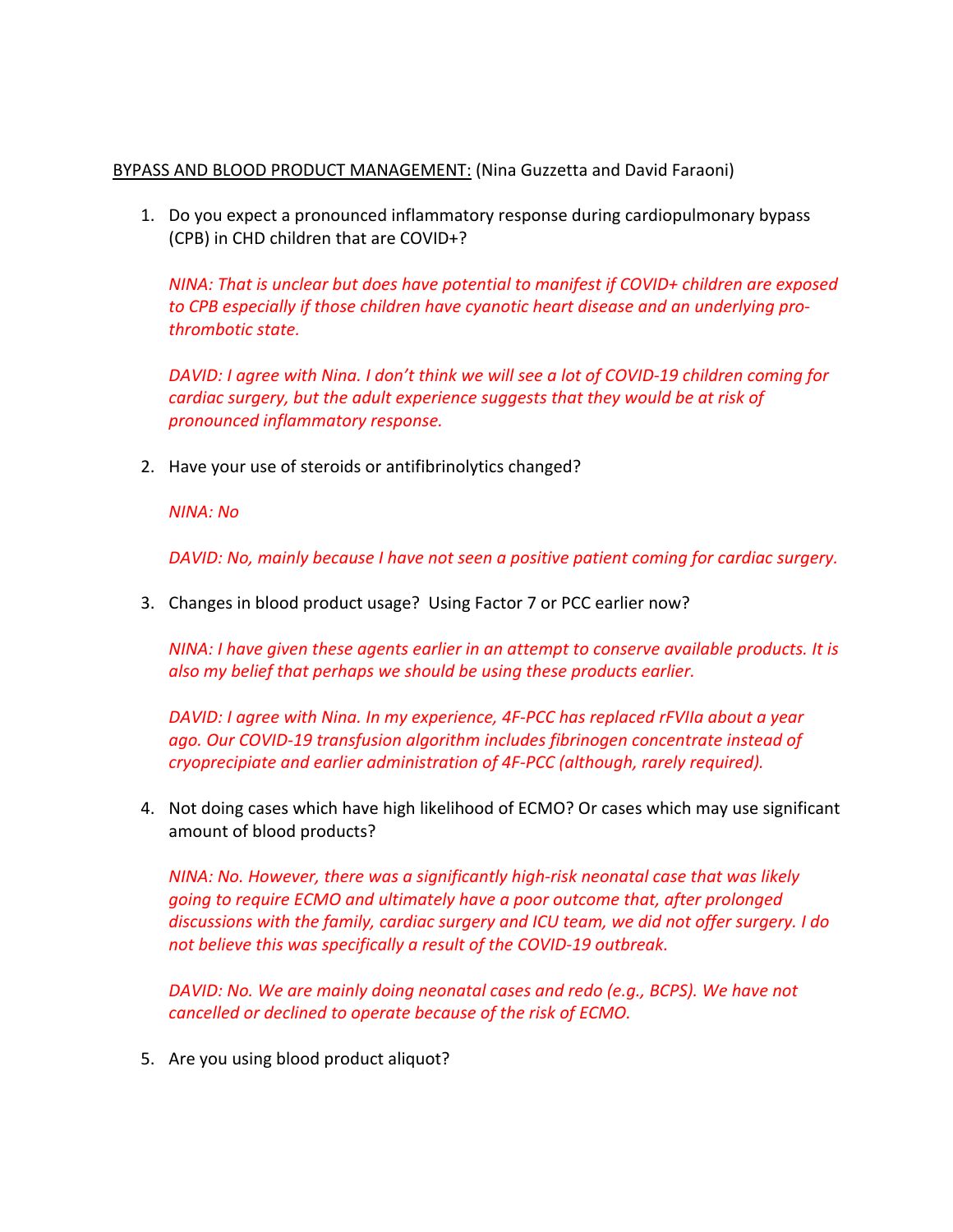## BYPASS AND BLOOD PRODUCT MANAGEMENT: (Nina Guzzetta and David Faraoni)

1. Do you expect a pronounced inflammatory response during cardiopulmonary bypass (CPB) in CHD children that are COVID+?

*NINA: That is unclear but does have potential to manifest if COVID+ children are exposed to CPB especially if those children have cyanotic heart disease and an underlying prothrombotic state.* 

*DAVID: I agree with Nina. I don't think we will see a lot of COVID-19 children coming for cardiac surgery, but the adult experience suggests that they would be at risk of pronounced inflammatory response.* 

2. Have your use of steroids or antifibrinolytics changed?

## *NINA: No*

*DAVID: No, mainly because I have not seen a positive patient coming for cardiac surgery.* 

3. Changes in blood product usage? Using Factor 7 or PCC earlier now?

*NINA: I have given these agents earlier in an attempt to conserve available products. It is also my belief that perhaps we should be using these products earlier.* 

*DAVID: I agree with Nina. In my experience, 4F-PCC has replaced rFVIIa about a year ago. Our COVID-19 transfusion algorithm includes fibrinogen concentrate instead of cryoprecipiate and earlier administration of 4F-PCC (although, rarely required).* 

4. Not doing cases which have high likelihood of ECMO? Or cases which may use significant amount of blood products?

*NINA: No. However, there was a significantly high-risk neonatal case that was likely going to require ECMO and ultimately have a poor outcome that, after prolonged discussions with the family, cardiac surgery and ICU team, we did not offer surgery. I do not believe this was specifically a result of the COVID-19 outbreak.* 

*DAVID: No. We are mainly doing neonatal cases and redo (e.g., BCPS). We have not cancelled or declined to operate because of the risk of ECMO.* 

5. Are you using blood product aliquot?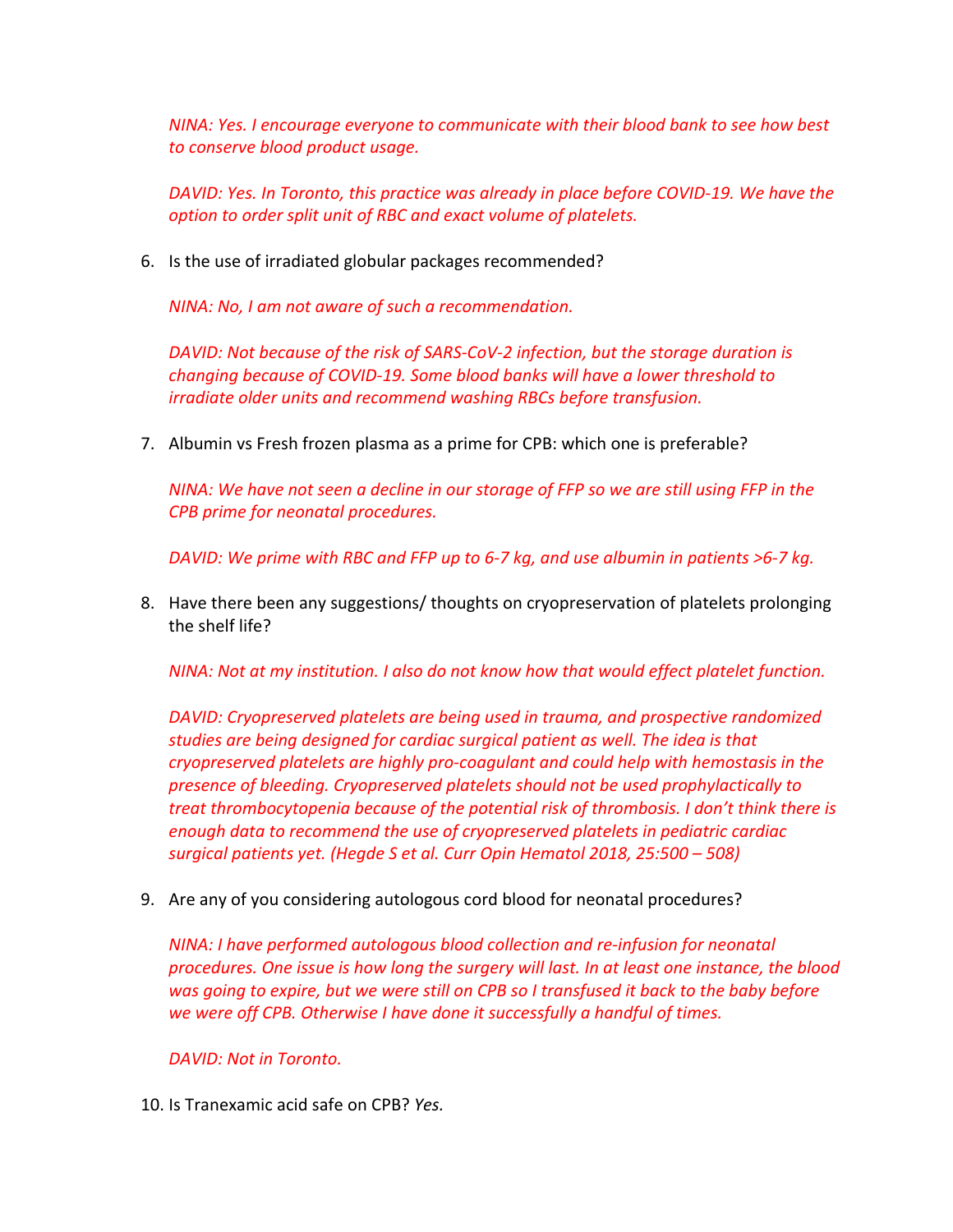*NINA: Yes. I encourage everyone to communicate with their blood bank to see how best to conserve blood product usage.* 

*DAVID: Yes. In Toronto, this practice was already in place before COVID-19. We have the option to order split unit of RBC and exact volume of platelets.* 

6. Is the use of irradiated globular packages recommended?

*NINA: No, I am not aware of such a recommendation.*

*DAVID: Not because of the risk of SARS-CoV-2 infection, but the storage duration is changing because of COVID-19. Some blood banks will have a lower threshold to irradiate older units and recommend washing RBCs before transfusion.* 

7. Albumin vs Fresh frozen plasma as a prime for CPB: which one is preferable?

*NINA: We have not seen a decline in our storage of FFP so we are still using FFP in the CPB prime for neonatal procedures.* 

*DAVID: We prime with RBC and FFP up to 6-7 kg, and use albumin in patients >6-7 kg.* 

8. Have there been any suggestions/ thoughts on cryopreservation of platelets prolonging the shelf life?

*NINA: Not at my institution. I also do not know how that would effect platelet function.* 

*DAVID: Cryopreserved platelets are being used in trauma, and prospective randomized studies are being designed for cardiac surgical patient as well. The idea is that cryopreserved platelets are highly pro-coagulant and could help with hemostasis in the presence of bleeding. Cryopreserved platelets should not be used prophylactically to treat thrombocytopenia because of the potential risk of thrombosis. I don't think there is enough data to recommend the use of cryopreserved platelets in pediatric cardiac surgical patients yet. (Hegde S et al. Curr Opin Hematol 2018, 25:500 – 508)*

9. Are any of you considering autologous cord blood for neonatal procedures?

*NINA: I have performed autologous blood collection and re-infusion for neonatal procedures. One issue is how long the surgery will last. In at least one instance, the blood was going to expire, but we were still on CPB so I transfused it back to the baby before we were off CPB. Otherwise I have done it successfully a handful of times.* 

*DAVID: Not in Toronto.* 

10. Is Tranexamic acid safe on CPB? *Yes.*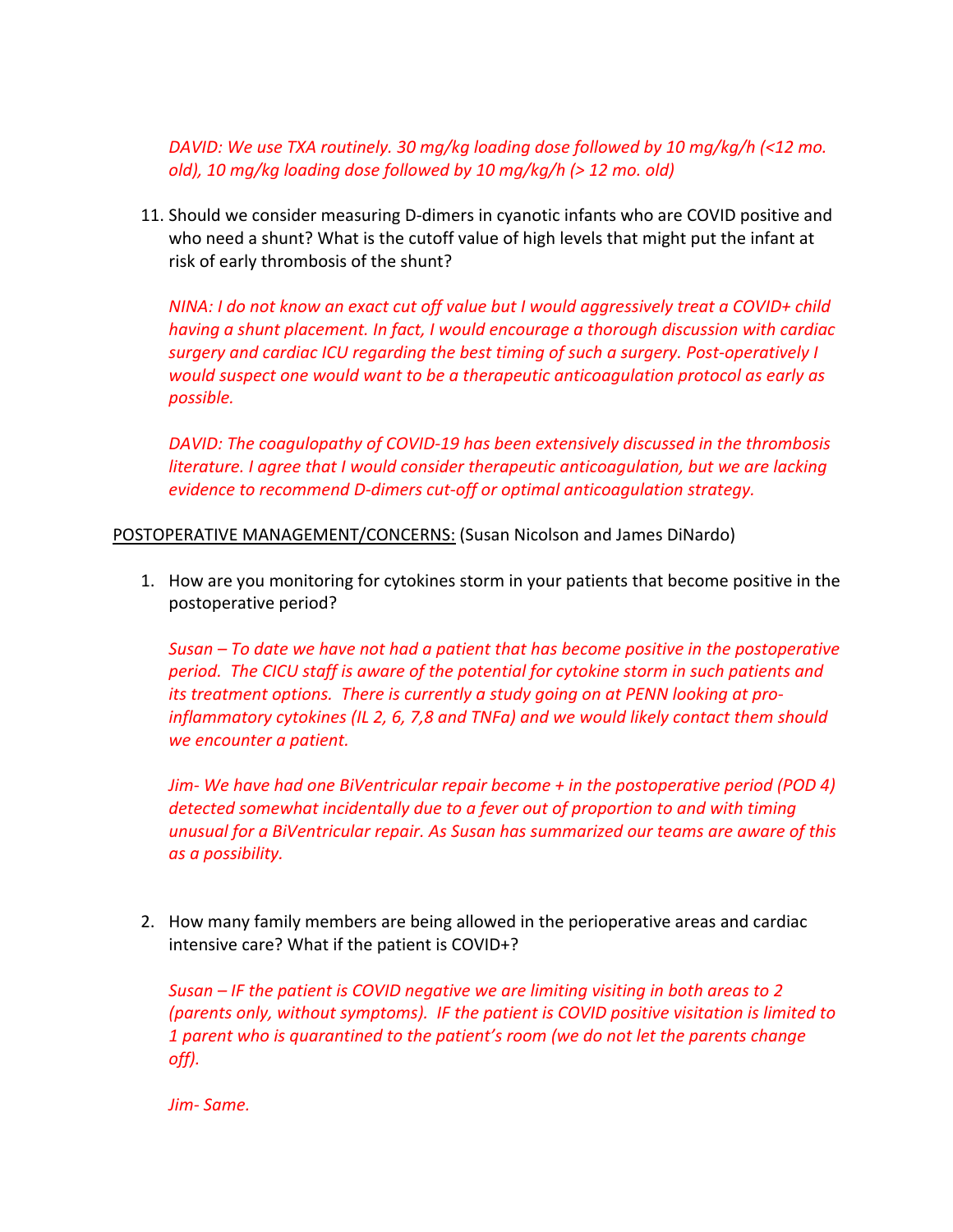*DAVID: We use TXA routinely. 30 mg/kg loading dose followed by 10 mg/kg/h (<12 mo. old), 10 mg/kg loading dose followed by 10 mg/kg/h (> 12 mo. old)*

11. Should we consider measuring D-dimers in cyanotic infants who are COVID positive and who need a shunt? What is the cutoff value of high levels that might put the infant at risk of early thrombosis of the shunt?

*NINA: I do not know an exact cut off value but I would aggressively treat a COVID+ child having a shunt placement. In fact, I would encourage a thorough discussion with cardiac surgery and cardiac ICU regarding the best timing of such a surgery. Post-operatively I would suspect one would want to be a therapeutic anticoagulation protocol as early as possible.* 

*DAVID: The coagulopathy of COVID-19 has been extensively discussed in the thrombosis literature. I agree that I would consider therapeutic anticoagulation, but we are lacking evidence to recommend D-dimers cut-off or optimal anticoagulation strategy.* 

POSTOPERATIVE MANAGEMENT/CONCERNS: (Susan Nicolson and James DiNardo)

1. How are you monitoring for cytokines storm in your patients that become positive in the postoperative period?

*Susan – To date we have not had a patient that has become positive in the postoperative period. The CICU staff is aware of the potential for cytokine storm in such patients and its treatment options. There is currently a study going on at PENN looking at proinflammatory cytokines (IL 2, 6, 7,8 and TNFa) and we would likely contact them should we encounter a patient.* 

*Jim- We have had one BiVentricular repair become + in the postoperative period (POD 4) detected somewhat incidentally due to a fever out of proportion to and with timing unusual for a BiVentricular repair. As Susan has summarized our teams are aware of this as a possibility.*

2. How many family members are being allowed in the perioperative areas and cardiac intensive care? What if the patient is COVID+?

*Susan – IF the patient is COVID negative we are limiting visiting in both areas to 2 (parents only, without symptoms). IF the patient is COVID positive visitation is limited to 1 parent who is quarantined to the patient's room (we do not let the parents change off).*

*Jim- Same.*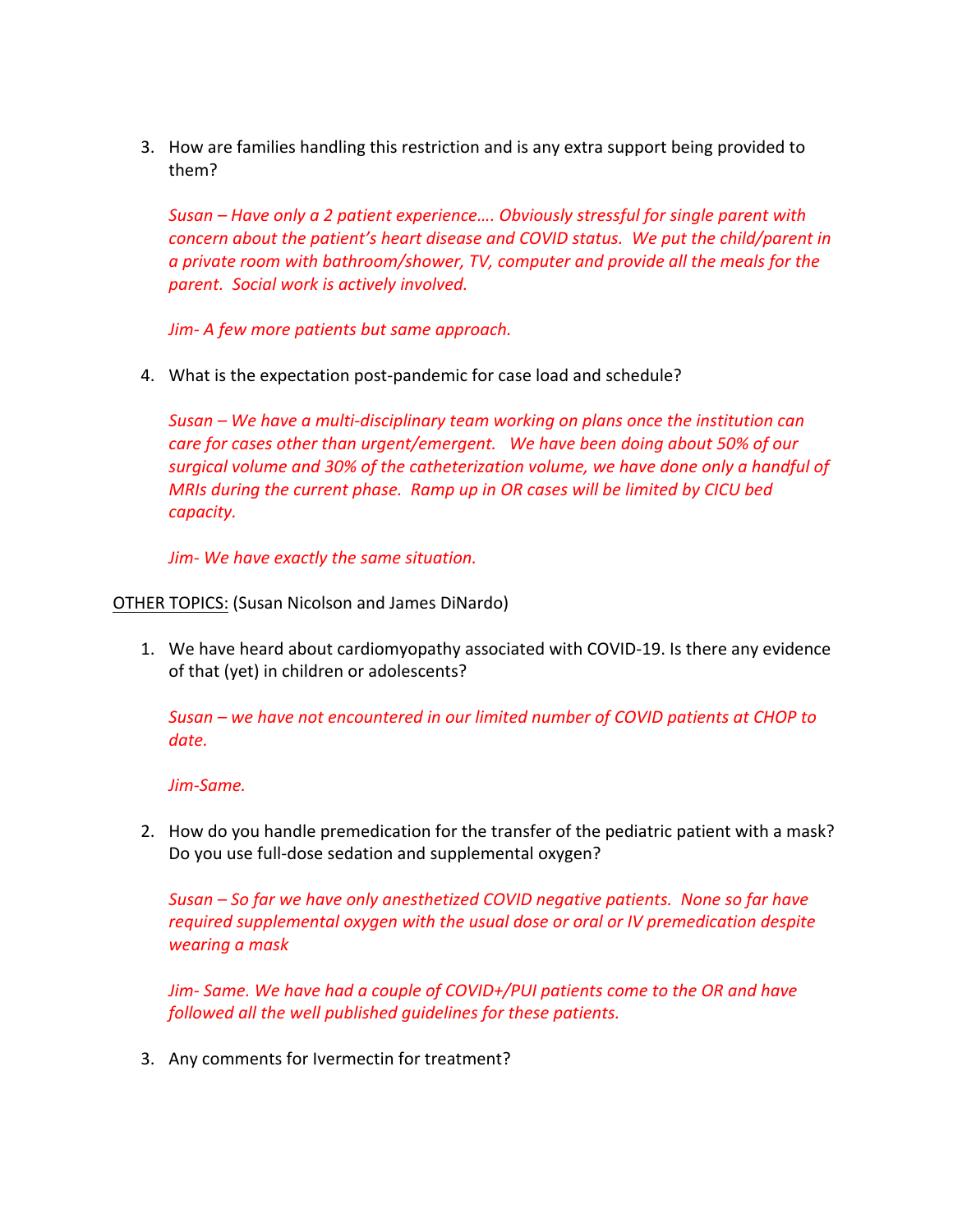3. How are families handling this restriction and is any extra support being provided to them?

*Susan – Have only a 2 patient experience…. Obviously stressful for single parent with concern about the patient's heart disease and COVID status. We put the child/parent in a private room with bathroom/shower, TV, computer and provide all the meals for the parent. Social work is actively involved.*

*Jim- A few more patients but same approach.*

4. What is the expectation post-pandemic for case load and schedule?

*Susan – We have a multi-disciplinary team working on plans once the institution can care for cases other than urgent/emergent. We have been doing about 50% of our surgical volume and 30% of the catheterization volume, we have done only a handful of MRIs during the current phase. Ramp up in OR cases will be limited by CICU bed capacity.* 

*Jim- We have exactly the same situation.*

#### OTHER TOPICS: (Susan Nicolson and James DiNardo)

1. We have heard about cardiomyopathy associated with COVID-19. Is there any evidence of that (yet) in children or adolescents?

*Susan – we have not encountered in our limited number of COVID patients at CHOP to date.*

#### *Jim-Same.*

2. How do you handle premedication for the transfer of the pediatric patient with a mask? Do you use full-dose sedation and supplemental oxygen?

*Susan – So far we have only anesthetized COVID negative patients. None so far have required supplemental oxygen with the usual dose or oral or IV premedication despite wearing a mask*

*Jim- Same. We have had a couple of COVID+/PUI patients come to the OR and have followed all the well published guidelines for these patients.*

3. Any comments for Ivermectin for treatment?